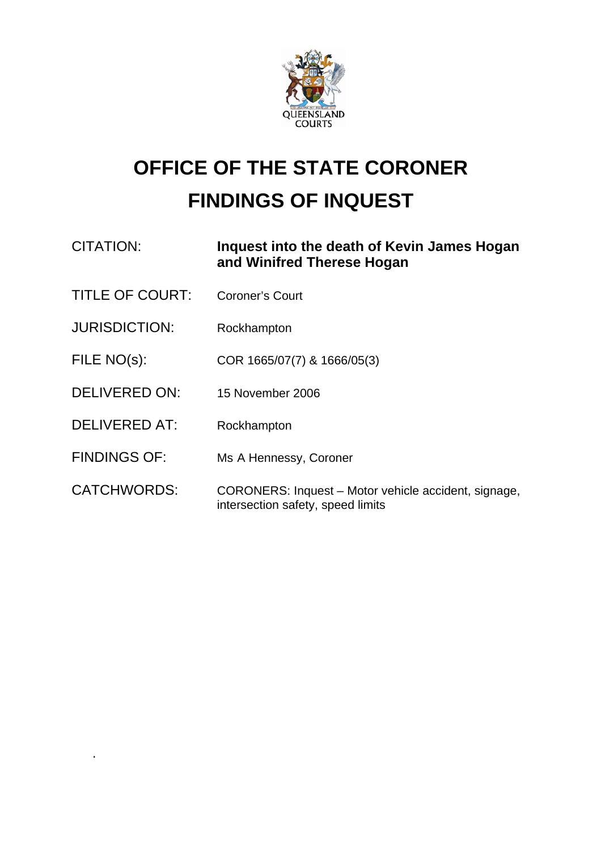

## **OFFICE OF THE STATE CORONER FINDINGS OF INQUEST**

| <b>CITATION:</b>       | Inquest into the death of Kevin James Hogan<br>and Winifred Therese Hogan |
|------------------------|---------------------------------------------------------------------------|
| <b>TITLE OF COURT:</b> | Coroner's Court                                                           |
| <b>JURISDICTION:</b>   | Rockhampton                                                               |
| FILE NO(s):            | COR 1665/07(7) & 1666/05(3)                                               |
| DELIVERED ON:          | 15 November 2006                                                          |
| <b>DELIVERED AT:</b>   | Rockhampton                                                               |
| <b>FINDINGS OF:</b>    | Ms A Hennessy, Coroner                                                    |
| <b>CATCHWORDS:</b>     | CORONERS: Inquest – Motor vehicle accident, signage,                      |

intersection safety, speed limits

**.**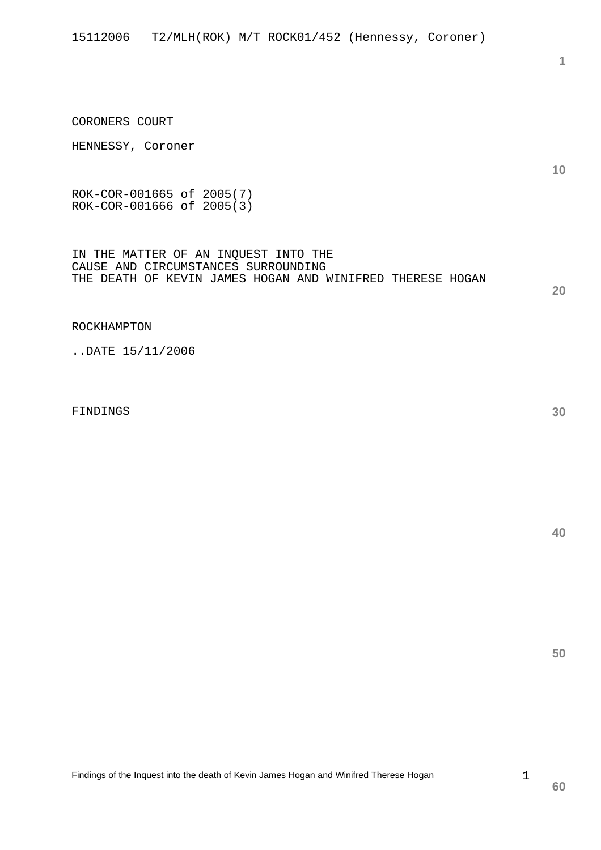CORONERS COURT

ROK-COR-001665 of 2005(7) ROK-COR-001666 of 2005(3)

IN THE MATTER OF AN INQUEST INTO THE CAUSE AND CIRCUMSTANCES SURROUNDING THE DEATH OF KEVIN JAMES HOGAN AND WINIFRED THERESE HOGAN

ROCKHAMPTON

..DATE 15/11/2006

FINDINGS

**30** 

**40** 

**50** 

1

**10**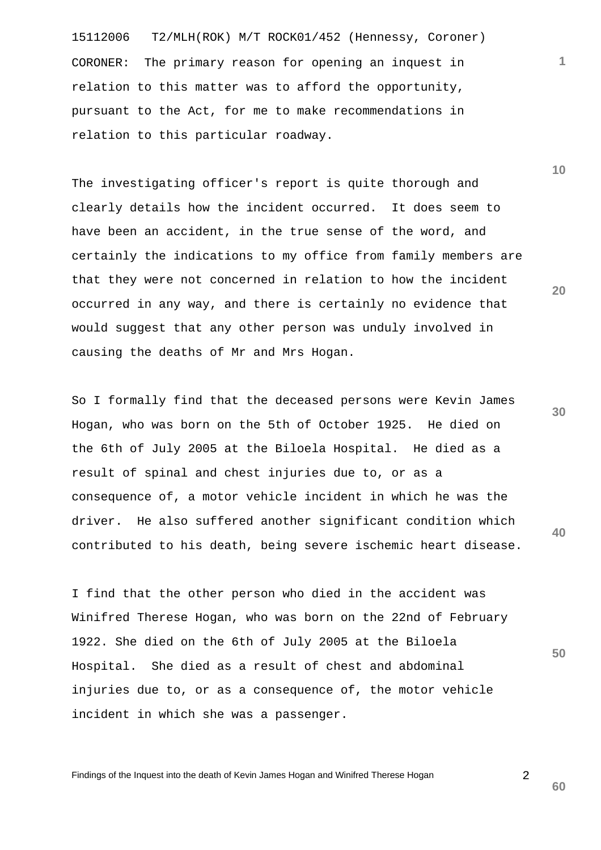15112006 T2/MLH(ROK) M/T ROCK01/452 (Hennessy, Coroner) CORONER: The primary reason for opening an inquest in relation to this matter was to afford the opportunity, pursuant to the Act, for me to make recommendations in relation to this particular roadway.

The investigating officer's report is quite thorough and clearly details how the incident occurred. It does seem to have been an accident, in the true sense of the word, and certainly the indications to my office from family members are that they were not concerned in relation to how the incident occurred in any way, and there is certainly no evidence that would suggest that any other person was unduly involved in causing the deaths of Mr and Mrs Hogan.

**40**  So I formally find that the deceased persons were Kevin James Hogan, who was born on the 5th of October 1925. He died on the 6th of July 2005 at the Biloela Hospital. He died as a result of spinal and chest injuries due to, or as a consequence of, a motor vehicle incident in which he was the driver. He also suffered another significant condition which contributed to his death, being severe ischemic heart disease.

I find that the other person who died in the accident was Winifred Therese Hogan, who was born on the 22nd of February 1922. She died on the 6th of July 2005 at the Biloela Hospital. She died as a result of chest and abdominal injuries due to, or as a consequence of, the motor vehicle incident in which she was a passenger.

Findings of the Inquest into the death of Kevin James Hogan and Winifred Therese Hogan

**10** 

**1**

**20** 

**50**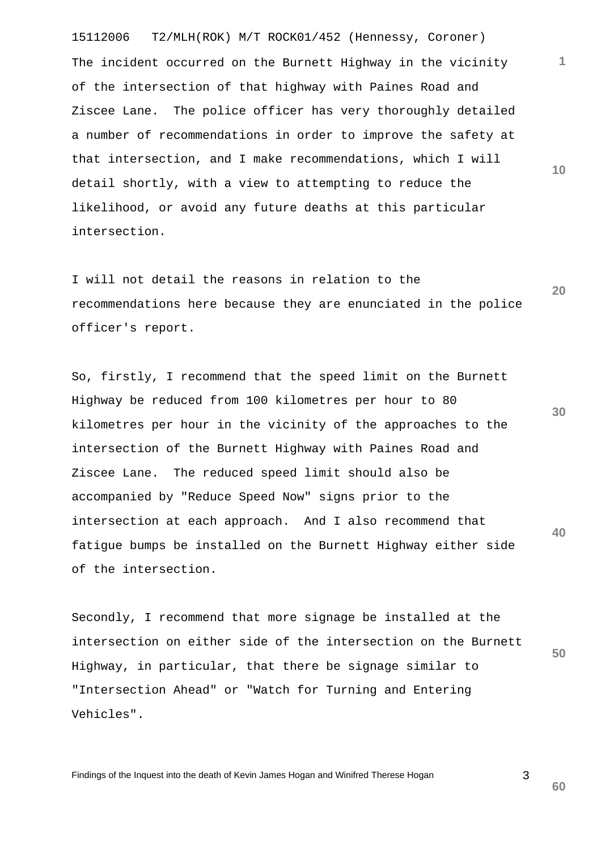15112006 T2/MLH(ROK) M/T ROCK01/452 (Hennessy, Coroner) The incident occurred on the Burnett Highway in the vicinity of the intersection of that highway with Paines Road and Ziscee Lane. The police officer has very thoroughly detailed a number of recommendations in order to improve the safety at that intersection, and I make recommendations, which I will detail shortly, with a view to attempting to reduce the likelihood, or avoid any future deaths at this particular intersection.

**20**  I will not detail the reasons in relation to the recommendations here because they are enunciated in the police officer's report.

**30 40**  So, firstly, I recommend that the speed limit on the Burnett Highway be reduced from 100 kilometres per hour to 80 kilometres per hour in the vicinity of the approaches to the intersection of the Burnett Highway with Paines Road and Ziscee Lane. The reduced speed limit should also be accompanied by "Reduce Speed Now" signs prior to the intersection at each approach. And I also recommend that fatigue bumps be installed on the Burnett Highway either side of the intersection.

**50**  Secondly, I recommend that more signage be installed at the intersection on either side of the intersection on the Burnett Highway, in particular, that there be signage similar to "Intersection Ahead" or "Watch for Turning and Entering Vehicles".

Findings of the Inquest into the death of Kevin James Hogan and Winifred Therese Hogan

**1**

**10** 

**60**